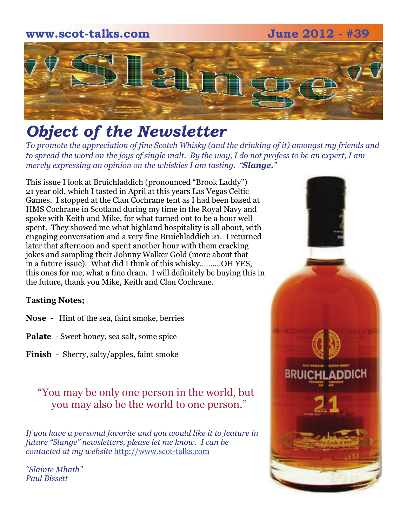# **www.scot-talks.com June 2012 - #39** [2]

## *Object of the Newsletter*

*To promote the appreciation of fine Scotch Whisky (and the drinking of it) amongst my friends and to spread the word on the joys of single malt. By the way, I do not profess to be an expert, I am merely expressing an opinion on the whiskies I am tasting. "Slange."* 

This issue I look at Bruichladdich (pronounced "Brook Laddy") 21 year old, which I tasted in April at this years Las Vegas Celtic Games. I stopped at the Clan Cochrane tent as I had been based at HMS Cochrane in Scotland during my time in the Royal Navy and spoke with Keith and Mike, for what turned out to be a hour well spent. They showed me what highland hospitality is all about, with engaging conversation and a very fine Bruichladdich 21. I returned later that afternoon and spent another hour with them cracking jokes and sampling their Johnny Walker Gold (more about that in a future issue). What did I think of this whisky……....OH YES, this ones for me, what a fine dram. I will definitely be buying this in the future, thank you Mike, Keith and Clan Cochrane.

#### **Tasting Notes;**

- **Nose**  Hint of the sea, faint smoke, berries
- **Palate**  Sweet honey, sea salt, some spice
- **Finish**  Sherry, salty/apples, faint smoke

#### "You may be only one person in the world, but you may also be the world to one person."

*If you have a personal favorite and you would like it to feature in future "Slange" newsletters, please let me know. I can be contacted at my website* [http://www.scot-talks.com](http://www.scot-talks.com/default.html)

*"Slainte Mhath" Paul Bissett*

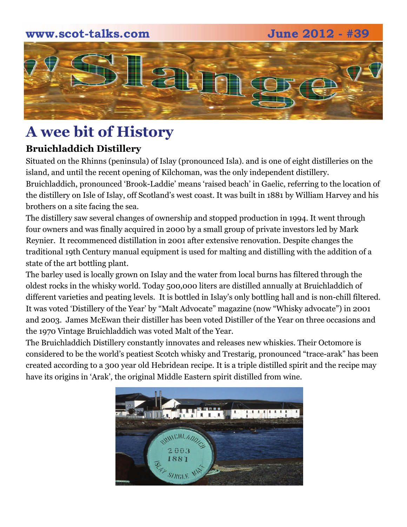#### **www.scot-talks.com June 2012 - #39**



### **A wee bit of History**

#### **Bruichladdich Distillery**

Situated on the [Rhinns](http://en.wikipedia.org/wiki/Rhinns_of_Islay) (peninsula) of [Islay](http://en.wikipedia.org/wiki/Islay) (pronounced Isla). and is one of eight distilleries on the island, and until the recent opening of [Kilchoman](http://en.wikipedia.org/wiki/Kilchoman), was the only [independent](http://en.wikipedia.org/wiki/Independent_business) distillery.

Bruichladdich, pronounced 'Brook-Laddie' means 'raised beach' in [Gaelic](http://www.scotland.com/culture/language/), referring to the location of the distillery on Isle of Islay, off Scotland's west coast. It was built in 1881 by William Harvey and his brothers on a site facing the sea.

The distillery saw several changes of ownership and stopped production in 1994. It went through four owners and was finally acquired in 2000 by a small group of private investors led by Mark Reynier. It recommenced distillation in 2001 after extensive renovation. Despite changes the traditional 19th Century manual equipment is used for malting and distilling with the addition of a state of the art bottling plant.

The barley used is locally grown on Islay and the water from local burns has filtered through the oldest rocks in the whisky world. Today 500,000 liters are distilled annually at Bruichladdich of different varieties and peating levels. It is bottled in Islay's only bottling hall and is non-chill filtered. It was voted 'Distillery of the Year' by "Malt Advocate" magazine (now "Whisky advocate") in 2001 and 2003. James McEwan their distiller has been voted Distiller of the Year on three occasions and the 1970 Vintage Bruichladdich was voted Malt of the Year.

The [Bruichladdich Distillery](http://www.bruichladdich.com/) constantly innovates and releases new whiskies. Their Octomore is considered to be the world's peatiest [Scotch whisky](http://www.scotland.com/scottish-whisky-trail/) and Trestarig, pronounced "trace-arak" has been created according to a 300 year old Hebridean recipe. It is a triple distilled spirit and the recipe may have its origins in 'Arak', the original Middle Eastern spirit distilled from wine.

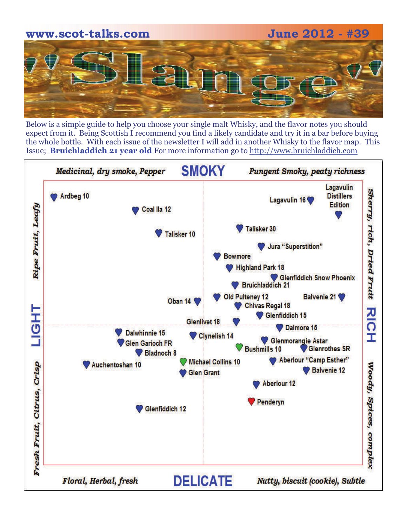

Below is a simple guide to help you choose your single malt Whisky, and the flavor notes you should expect from it. Being Scottish I recommend you find a likely candidate and try it in a bar before buying the whole bottle. With each issue of the newsletter I will add in another Whisky to the flavor map. This Issue; **Bruichladdich 21 year old** For more information go to [http://www.bruichladdich.com](http://www.bruichladdich.com/)